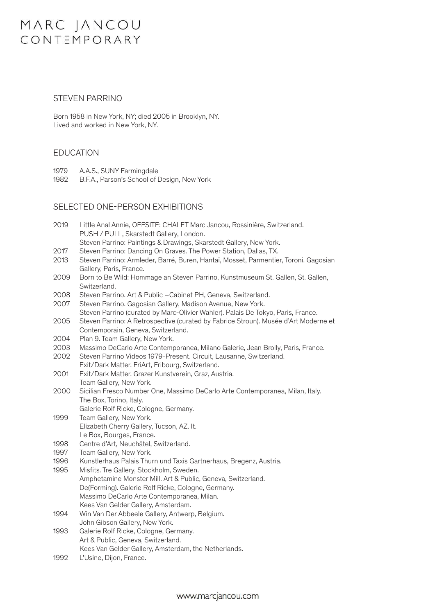## MARC JANCOU CONTEMPORARY

### STEVEN PARRINO STEVEN PARRINO

Born 1958 in New York, NY; died 2005 in Brooklyn, NY. Born 1958 in New York, NY; died 2005 in Brooklyn, NY. Lived and worked in New York, NY.

## EDUCATION EDUCATION

- 1979 A.A.S., SUNY Farmingdale 1979 A.A.S., SUNY Farmingdale
- 1982 B.F.A., Parson's School of Design, New York

### SELECTED ONE-PERSON EXHIBITIONS SELECTED ONE-PERSON EXHIBITIONS

| 2019 | Little Anal Annie, OFFSITE: CHALET Marc Jancou, Rossinière, Switzerland.             |
|------|--------------------------------------------------------------------------------------|
|      | PUSH / PULL, Skarstedt Gallery, London.                                              |
|      | Steven Parrino: Paintings & Drawings, Skarstedt Gallery, New York.                   |
| 2017 | Steven Parrino: Dancing On Graves. The Power Station, Dallas, TX.                    |
| 2013 | Steven Parrino: Armleder, Barré, Buren, Hantaï, Mosset, Parmentier, Toroni. Gagosian |
|      | Gallery, Paris, France.                                                              |
| 2009 | Born to Be Wild: Hommage an Steven Parrino, Kunstmuseum St. Gallen, St. Gallen,      |
|      | Switzerland.                                                                         |
| 2008 | Steven Parrino. Art & Public - Cabinet PH, Geneva, Switzerland.                      |
| 2007 | Steven Parrino. Gagosian Gallery, Madison Avenue, New York.                          |
|      | Steven Parrino (curated by Marc-Olivier Wahler). Palais De Tokyo, Paris, France.     |
| 2005 | Steven Parrino: A Retrospective (curated by Fabrice Stroun). Musée d'Art Moderne et  |
|      | Contemporain, Geneva, Switzerland.                                                   |
| 2004 | Plan 9. Team Gallery, New York.                                                      |
| 2003 | Massimo DeCarlo Arte Contemporanea, Milano Galerie, Jean Brolly, Paris, France.      |
| 2002 | Steven Parrino Videos 1979-Present. Circuit, Lausanne, Switzerland.                  |
|      | Exit/Dark Matter. FriArt, Fribourg, Switzerland.                                     |
| 2001 | Exit/Dark Matter. Grazer Kunstverein, Graz, Austria.                                 |
|      | Team Gallery, New York.                                                              |
| 2000 | Sicilian Fresco Number One, Massimo DeCarlo Arte Contemporanea, Milan, Italy.        |
|      | The Box, Torino, Italy.                                                              |
|      | Galerie Rolf Ricke, Cologne, Germany.                                                |
| 1999 | Team Gallery, New York.                                                              |
|      | Elizabeth Cherry Gallery, Tucson, AZ. It.                                            |
|      | Le Box, Bourges, France.                                                             |
| 1998 | Centre d'Art, Neuchâtel, Switzerland.                                                |
| 1997 | Team Gallery, New York.                                                              |
| 1996 | Kunstlerhaus Palais Thurn und Taxis Gartnerhaus, Bregenz, Austria.                   |
| 1995 | Misfits. Tre Gallery, Stockholm, Sweden.                                             |
|      | Amphetamine Monster Mill. Art & Public, Geneva, Switzerland.                         |
|      | De(Forming). Galerie Rolf Ricke, Cologne, Germany.                                   |
|      | Massimo DeCarlo Arte Contemporanea, Milan.                                           |
|      | Kees Van Gelder Gallery, Amsterdam.                                                  |
| 1994 | Win Van Der Abbeele Gallery, Antwerp, Belgium.                                       |
|      | John Gibson Gallery, New York.                                                       |
| 1993 | Galerie Rolf Ricke, Cologne, Germany.                                                |
|      | Art & Public, Geneva, Switzerland.                                                   |
|      | Kees Van Gelder Gallery, Amsterdam, the Netherlands.                                 |
| 1992 | L'Usine, Dijon, France.                                                              |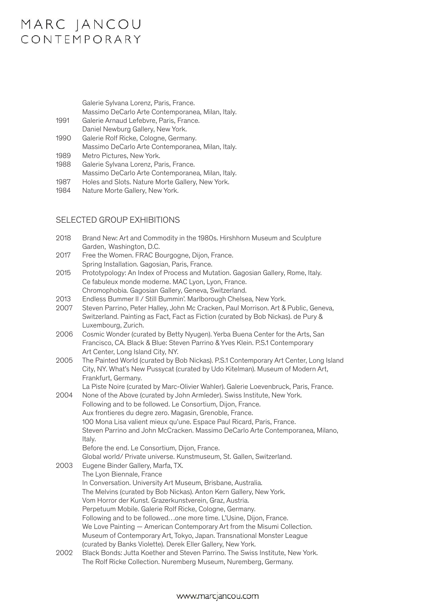## MARC JANCOU CONTEMPORARY

|      | Galerie Sylvana Lorenz, Paris, France.            |
|------|---------------------------------------------------|
|      | Massimo DeCarlo Arte Contemporanea, Milan, Italy. |
| 1991 | Galerie Arnaud Lefebvre, Paris, France.           |
|      | Daniel Newburg Gallery, New York.                 |
| 1990 | Galerie Rolf Ricke, Cologne, Germany.             |
|      | Massimo DeCarlo Arte Contemporanea, Milan, Italy. |
| 1989 | Metro Pictures, New York.                         |
| 1988 | Galerie Sylvana Lorenz, Paris, France.            |
|      | Massimo DeCarlo Arte Contemporanea, Milan, Italy. |
| 1987 | Holes and Slots. Nature Morte Gallery, New York.  |
| 1984 | Nature Morte Gallery, New York.                   |

#### SELECTED ONE-PERSON EXHIBITIONS SELECTED GROUP EXHIBITIONS 2019 *Little Anal Annie*, OFFSITE: CHALET Marc Jancou, Rossinière, Switzerland.

| 2018 | Brand New: Art and Commodity in the 1980s. Hirshhorn Museum and Sculpture<br>Garden, Washington, D.C. |
|------|-------------------------------------------------------------------------------------------------------|
| 2017 | Free the Women. FRAC Bourgogne, Dijon, France.                                                        |
|      | Spring Installation. Gagosian, Paris, France.                                                         |
| 2015 | Prototypology: An Index of Process and Mutation. Gagosian Gallery, Rome, Italy.                       |
|      | Ce fabuleux monde moderne. MAC Lyon, Lyon, France.                                                    |
|      | Chromophobia. Gagosian Gallery, Geneva, Switzerland.                                                  |
|      |                                                                                                       |

- 2013 Endless Bummer II / Still Bummin'. Marlborough Chelsea, New York.
- 2007 Steven Parrino, Peter Halley, John Mc Cracken, Paul Morrison. Art & Public, Geneva, Switzerland. Painting as Fact, Fact as Fiction (curated by Bob Nickas). de Pury & 2005 *Steven Parrino: A Retrospective* (curated by Fabrice Stroun). Musée d'Art Moderne et Luxembourg, Zurich. 2005 *Steven Parrino: A Retrospective* (curated by Fabrice Stroun). Musée d'Art Moderne et
- 2006 Cosmic Wonder (curated by Betty Nyugen). Yerba Buena Center for the Arts, San **Plancisco, CA. Black & Blue: Steven Parrino & Yves Klein. P.S.1 Contemporary** Francisco, CA. Black & Blue: Steven Parrino & Yves Klein. P.S.1 Contemporary 2003 Massimo Decarne Galerie Contemporanea, Milano Galerie Contemporanea, Milano Galerie Arte Contemporanea, Milano Galerie Contemporanea, Milano Galerie Contemporanea, Milano Galerie Contemporanea, Milano Galerie Contempo
- 2005 The Painted World (curated by Bob Nickas). P.S.1 Contemporary Art Center, Long Island City, NY. What's New Pussycat (curated by Udo Kitelman). Museum of Modern Art, *Exit/Dark Matter.* FriArt, Fribourg, Switzerland. Frankfurt, Germany. *Exit, Armatter.com .* accycal (caraled by Sub . ...<br>Frankfurt, Germany
- La Piste Noire (curated by Marc-Olivier Wahler). Galerie Loevenbruck, Paris, France. 2004 None of the Above (curated by John Armleder). Swiss Institute, New York.
- Following and to be followed. Le Consortium, Dijon, France. Aux frontieres du degre zero. Magasin, Grenoble, France. rich rennerie de degre Esrenniggenn, drenesse, names.<br>100 Mona Lisa valient mieux qu'une. Espace Paul Ricard, Paris, France. 1999 Team Gallery, New York. 2006. The Contemporanea, Milano, Steven Parrino and John McCracken. Massimo DeCarlo Arte Contemporanea, Milano, Elizabeth Cherry Gallery, Tucson, AZ. It. Refore the end. Le Consortium, Dijon, France. 1998 Centre die Le Centre dans Dependant, St. Gallen, Switzerland.<br>Global world/ Private universe. Kunstmuseum, St. Gallen, Switzerland. 2003 Eugene Binder Gallery, Marfa, TX. Italy. France Balais Charles, States, Austria.<br>The Lyon Biennale, France Elizabeth Cherry Gallery, Tucson, Az. It. Interest.<br>Italy
- 1996 Kunstlerhaus Palais Thurn und Taxis Gartnerhaus, Bregenz, Austria.<br>Thurm und Taxis Gartnerhaus, Austria. Austria. Austria. Austria. Austria. Austria. Austria. Austria. Austria. 1995 Misfits, Marie Christopher Gallery, Stockholm, Stockholm, Superinten.<br>1995 Misfits. Tre Gallery, Stockholm, Stockholm, Sweden. Australia. The Melvins (curated by Bob Nickas). Anton Kern Gallery, New York. **Definition Cologne, Cologne, Cologne, Cologne, Cologne, Cologne, Cologne, Cologne, Cologne, Cologne, Cologne, Cologne, Graz, Austria.** Perpetuum Mobile. Galerie Rolf Ricke, Cologne, Germany. Keepstaam. Mes Men Gallerie Herringham, Senegrie, Semilary.<br>Following and to be followed…one more time. L'Usine, Dijon, France. We Love Painting — American Contemporary Art from the Misumi Collection. Museum of Contemporary Art, Tokyo, Japan. Transnational Monster League 1993 Galerie Rolf Richard Cologne, Germany. Principle Ricke, Cologne, Germany. New York.<br>1993 Galerie Rolf Ricke, Cologne, Cologne, Cologne, Cologne, Cologne, Cologne, Cologne, Cologne, Cologne, Colo
- 2002 Black Bonds: Jutta Koether and Steven Parrino. The Swiss Institute, New York. Sham Bender Battler teener and exercisive amount the Shael method, it was a settled to the Rolf Ricke Collection. Nuremberg Museum, Nuremberg, Germany.

### www.marcjancou.com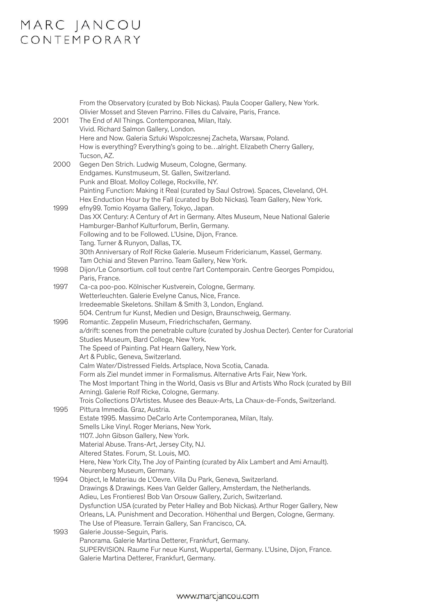# MARC JANCOU<br>CONTEMPORARY

| 2001 | From the Observatory (curated by Bob Nickas). Paula Cooper Gallery, New York.<br>Olivier Mosset and Steven Parrino. Filles du Calvaire, Paris, France.<br>The End of All Things. Contemporanea, Milan, Italy.<br>Vivid. Richard Salmon Gallery, London.<br>Here and Now. Galeria Sztuki Wspolczesnej Zacheta, Warsaw, Poland.<br>How is everything? Everything's going to bealright. Elizabeth Cherry Gallery,<br>Tucson, AZ.                                                                                                                                                                                                                                                                                                                              |
|------|------------------------------------------------------------------------------------------------------------------------------------------------------------------------------------------------------------------------------------------------------------------------------------------------------------------------------------------------------------------------------------------------------------------------------------------------------------------------------------------------------------------------------------------------------------------------------------------------------------------------------------------------------------------------------------------------------------------------------------------------------------|
| 2000 | Gegen Den Strich. Ludwig Museum, Cologne, Germany.<br>Endgames. Kunstmuseum, St. Gallen, Switzerland.<br>Punk and Bloat. Molloy College, Rockville, NY.<br>Painting Function: Making it Real (curated by Saul Ostrow). Spaces, Cleveland, OH.                                                                                                                                                                                                                                                                                                                                                                                                                                                                                                              |
| 1999 | Hex Enduction Hour by the Fall (curated by Bob Nickas). Team Gallery, New York.<br>efny99. Tomio Koyama Gallery, Tokyo, Japan.<br>Das XX Century: A Century of Art in Germany. Altes Museum, Neue National Galerie<br>Hamburger-Banhof Kulturforum, Berlin, Germany.<br>Following and to be Followed. L'Usine, Dijon, France.<br>Tang. Turner & Runyon, Dallas, TX.<br>30th Anniversary of Rolf Ricke Galerie. Museum Fridericianum, Kassel, Germany.<br>Tam Ochiai and Steven Parrino. Team Gallery, New York.                                                                                                                                                                                                                                            |
| 1998 | Dijon/Le Consortium. coll tout centre l'art Contemporain. Centre Georges Pompidou,<br>Paris, France.                                                                                                                                                                                                                                                                                                                                                                                                                                                                                                                                                                                                                                                       |
| 1997 | Ca-ca poo-poo. Kölnischer Kustverein, Cologne, Germany.<br>Wetterleuchten. Galerie Evelyne Canus, Nice, France.<br>Irredeemable Skeletons. Shillam & Smith 3, London, England.                                                                                                                                                                                                                                                                                                                                                                                                                                                                                                                                                                             |
| 1996 | 504. Centrum fur Kunst, Medien und Design, Braunschweig, Germany.<br>Romantic. Zeppelin Museum, Friedrichschafen, Germany.<br>a/drift: scenes from the penetrable culture (curated by Joshua Decter). Center for Curatorial<br>Studies Museum, Bard College, New York.<br>The Speed of Painting. Pat Hearn Gallery, New York.<br>Art & Public, Geneva, Switzerland.<br>Calm Water/Distressed Fields. Artsplace, Nova Scotia, Canada.<br>Form als Ziel mundet immer in Formalismus. Alternative Arts Fair, New York.<br>The Most Important Thing in the World, Oasis vs Blur and Artists Who Rock (curated by Bill<br>Arning). Galerie Rolf Ricke, Cologne, Germany.<br>Trois Collections D'Artistes. Musee des Beaux-Arts, La Chaux-de-Fonds, Switzerland. |
| 1995 | Pittura Immedia. Graz, Austria.<br>Estate 1995. Massimo DeCarlo Arte Contemporanea, Milan, Italy.<br>Smells Like Vinyl. Roger Merians, New York.<br>1107. John Gibson Gallery, New York.<br>Material Abuse. Trans-Art, Jersey City, NJ.<br>Altered States. Forum, St. Louis, MO.<br>Here, New York City, The Joy of Painting (curated by Alix Lambert and Ami Arnault).<br>Neurenberg Museum, Germany.                                                                                                                                                                                                                                                                                                                                                     |
| 1994 | Object, le Materiau de L'Oevre. Villa Du Park, Geneva, Switzerland.<br>Drawings & Drawings. Kees Van Gelder Gallery, Amsterdam, the Netherlands.<br>Adieu, Les Frontieres! Bob Van Orsouw Gallery, Zurich, Switzerland.<br>Dysfunction USA (curated by Peter Halley and Bob Nickas). Arthur Roger Gallery, New<br>Orleans, LA. Punishment and Decoration. Höhenthal und Bergen, Cologne, Germany.                                                                                                                                                                                                                                                                                                                                                          |
| 1993 | The Use of Pleasure. Terrain Gallery, San Francisco, CA.<br>Galerie Jousse-Seguin, Paris.<br>Panorama. Galerie Martina Detterer, Frankfurt, Germany.<br>SUPERVISION. Raume Fur neue Kunst, Wuppertal, Germany. L'Usine, Dijon, France.<br>Galerie Martina Detterer, Frankfurt, Germany.                                                                                                                                                                                                                                                                                                                                                                                                                                                                    |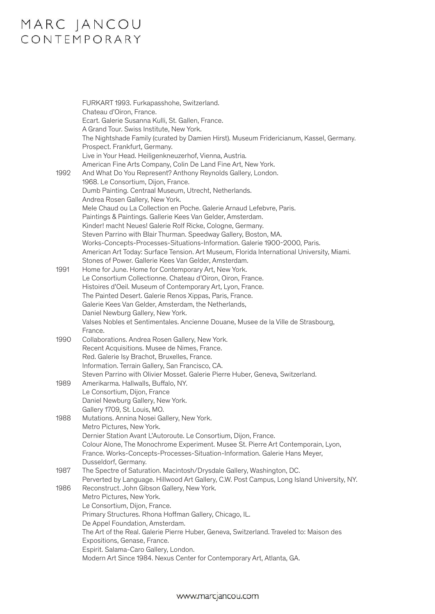## MARC JANCOU<br>CONTEMPORARY

| 1992 | FURKART 1993. Furkapasshohe, Switzerland.<br>Chateau d'Oiron, France.<br>Ecart. Galerie Susanna Kulli, St. Gallen, France.<br>A Grand Tour. Swiss Institute, New York.<br>The Nightshade Family (curated by Damien Hirst). Museum Fridericianum, Kassel, Germany.<br>Prospect. Frankfurt, Germany.<br>Live in Your Head. Heiligenkneuzerhof, Vienna, Austria.<br>American Fine Arts Company, Colin De Land Fine Art, New York.<br>And What Do You Represent? Anthony Reynolds Gallery, London.<br>1968. Le Consortium, Dijon, France.<br>Dumb Painting. Centraal Museum, Utrecht, Netherlands.<br>Andrea Rosen Gallery, New York.<br>Mele Chaud ou La Collection en Poche. Galerie Arnaud Lefebvre, Paris.<br>Paintings & Paintings. Gallerie Kees Van Gelder, Amsterdam.<br>Kinder! macht Neues! Galerie Rolf Ricke, Cologne, Germany. |
|------|-----------------------------------------------------------------------------------------------------------------------------------------------------------------------------------------------------------------------------------------------------------------------------------------------------------------------------------------------------------------------------------------------------------------------------------------------------------------------------------------------------------------------------------------------------------------------------------------------------------------------------------------------------------------------------------------------------------------------------------------------------------------------------------------------------------------------------------------|
|      | Steven Parrino with Blair Thurman. Speedway Gallery, Boston, MA.<br>Works-Concepts-Processes-Situations-Information. Galerie 1900-2000, Paris.<br>American Art Today: Surface Tension. Art Museum, Florida International University, Miami.<br>Stones of Power. Gallerie Kees Van Gelder, Amsterdam.                                                                                                                                                                                                                                                                                                                                                                                                                                                                                                                                    |
| 1991 | Home for June. Home for Contemporary Art, New York.<br>Le Consortium Collectionne. Chateau d'Oiron, Oiron, France.<br>Histoires d'Oeil. Museum of Contemporary Art, Lyon, France.<br>The Painted Desert. Galerie Renos Xippas, Paris, France.<br>Galerie Kees Van Gelder, Amsterdam, the Netherlands,<br>Daniel Newburg Gallery, New York.<br>Valses Nobles et Sentimentales. Ancienne Douane, Musee de la Ville de Strasbourg,<br>France.                                                                                                                                                                                                                                                                                                                                                                                              |
| 1990 | Collaborations. Andrea Rosen Gallery, New York.<br>Recent Acquisitions. Musee de Nimes, France.<br>Red. Galerie Isy Brachot, Bruxelles, France.<br>Information. Terrain Gallery, San Francisco, CA.<br>Steven Parrino with Olivier Mosset. Galerie Pierre Huber, Geneva, Switzerland.                                                                                                                                                                                                                                                                                                                                                                                                                                                                                                                                                   |
| 1989 | Amerikarma. Hallwalls, Buffalo, NY.<br>Le Consortium, Dijon, France<br>Daniel Newburg Gallery, New York.<br>Gallery 1709, St. Louis, MO.                                                                                                                                                                                                                                                                                                                                                                                                                                                                                                                                                                                                                                                                                                |
| 1988 | Mutations. Annina Nosei Gallery, New York.<br>Metro Pictures, New York.<br>Dernier Station Avant L'Autoroute. Le Consortium, Dijon, France.<br>Colour Alone, The Monochrome Experiment. Musee St. Pierre Art Contemporain, Lyon,<br>France. Works-Concepts-Processes-Situation-Information. Galerie Hans Meyer,<br>Dusseldorf, Germany.                                                                                                                                                                                                                                                                                                                                                                                                                                                                                                 |
| 1987 | The Spectre of Saturation. Macintosh/Drysdale Gallery, Washington, DC.<br>Perverted by Language. Hillwood Art Gallery, C.W. Post Campus, Long Island University, NY.                                                                                                                                                                                                                                                                                                                                                                                                                                                                                                                                                                                                                                                                    |
| 1986 | Reconstruct. John Gibson Gallery, New York.<br>Metro Pictures, New York.<br>Le Consortium, Dijon, France.<br>Primary Structures. Rhona Hoffman Gallery, Chicago, IL.<br>De Appel Foundation, Amsterdam.<br>The Art of the Real. Galerie Pierre Huber, Geneva, Switzerland. Traveled to: Maison des<br>Expositions, Genase, France.<br>Espirit. Salama-Caro Gallery, London.<br>Modern Art Since 1984. Nexus Center for Contemporary Art, Atlanta, GA.                                                                                                                                                                                                                                                                                                                                                                                   |